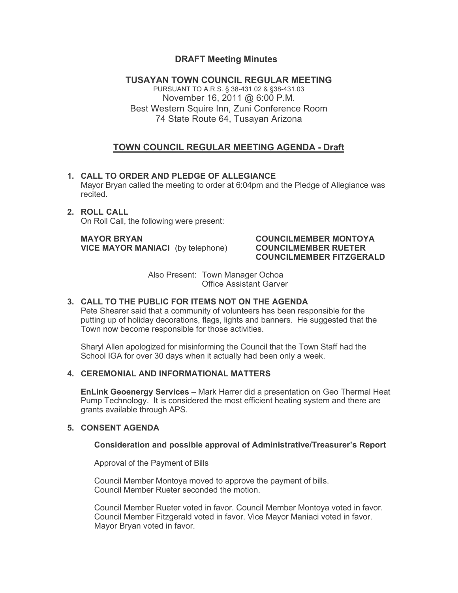# **DRAFT Meeting Minutes**

**TUSAYAN TOWN COUNCIL REGULAR MEETING** PURSUANT TO A.R.S. § 38-431.02 & §38-431.03 November 16, 2011 @ 6:00 P.M. Best Western Squire Inn, Zuni Conference Room 74 State Route 64, Tusayan Arizona

# **TOWN COUNCIL REGULAR MEETING AGENDA - Draft**

- **1. CALL TO ORDER AND PLEDGE OF ALLEGIANCE** Mayor Bryan called the meeting to order at 6:04pm and the Pledge of Allegiance was recited.
- **2. ROLL CALL** On Roll Call, the following were present:

**MAYOR BRYAN COUNCILMEMBER MONTOYA VICE MAYOR MANIACI** (by telephone) **COUNCILMEMBER RUETER**

# **COUNCILMEMBER FITZGERALD**

Also Present: Town Manager Ochoa Office Assistant Garver

## **3. CALL TO THE PUBLIC FOR ITEMS NOT ON THE AGENDA**

Pete Shearer said that a community of volunteers has been responsible for the putting up of holiday decorations, flags, lights and banners. He suggested that the Town now become responsible for those activities.

Sharyl Allen apologized for misinforming the Council that the Town Staff had the School IGA for over 30 days when it actually had been only a week.

#### **4. CEREMONIAL AND INFORMATIONAL MATTERS**

**EnLink Geoenergy Services** – Mark Harrer did a presentation on Geo Thermal Heat Pump Technology. It is considered the most efficient heating system and there are grants available through APS.

#### **5. CONSENT AGENDA**

# **Consideration and possible approval of Administrative/Treasurer's Report**

Approval of the Payment of Bills

Council Member Montoya moved to approve the payment of bills. Council Member Rueter seconded the motion.

Council Member Rueter voted in favor. Council Member Montoya voted in favor. Council Member Fitzgerald voted in favor. Vice Mayor Maniaci voted in favor. Mayor Bryan voted in favor.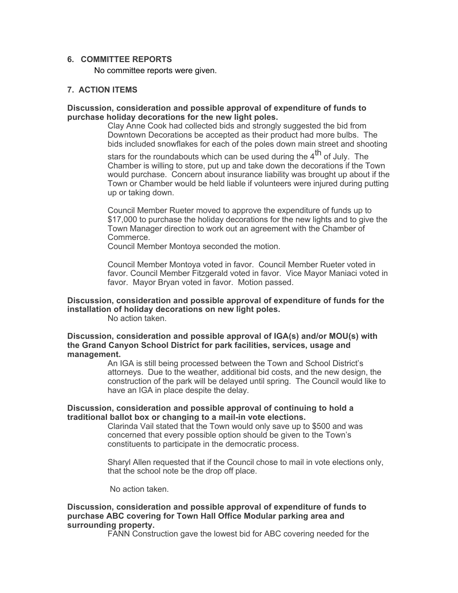#### **6. COMMITTEE REPORTS**

No committee reports were given.

#### **7. ACTION ITEMS**

#### **Discussion, consideration and possible approval of expenditure of funds to purchase holiday decorations for the new light poles.**

Clay Anne Cook had collected bids and strongly suggested the bid from Downtown Decorations be accepted as their product had more bulbs. The bids included snowflakes for each of the poles down main street and shooting

stars for the roundabouts which can be used during the  $4<sup>th</sup>$  of July. The Chamber is willing to store, put up and take down the decorations if the Town would purchase. Concern about insurance liability was brought up about if the Town or Chamber would be held liable if volunteers were injured during putting up or taking down.

Council Member Rueter moved to approve the expenditure of funds up to \$17,000 to purchase the holiday decorations for the new lights and to give the Town Manager direction to work out an agreement with the Chamber of Commerce.

Council Member Montoya seconded the motion.

Council Member Montoya voted in favor. Council Member Rueter voted in favor. Council Member Fitzgerald voted in favor. Vice Mayor Maniaci voted in favor. Mayor Bryan voted in favor. Motion passed.

# **Discussion, consideration and possible approval of expenditure of funds for the installation of holiday decorations on new light poles.**

No action taken.

**Discussion, consideration and possible approval of IGA(s) and/or MOU(s) with the Grand Canyon School District for park facilities, services, usage and management.** 

An IGA is still being processed between the Town and School District's attorneys. Due to the weather, additional bid costs, and the new design, the construction of the park will be delayed until spring. The Council would like to have an IGA in place despite the delay.

#### **Discussion, consideration and possible approval of continuing to hold a traditional ballot box or changing to a mail-in vote elections.**

Clarinda Vail stated that the Town would only save up to \$500 and was concerned that every possible option should be given to the Town's constituents to participate in the democratic process.

Sharyl Allen requested that if the Council chose to mail in vote elections only, that the school note be the drop off place.

No action taken.

#### **Discussion, consideration and possible approval of expenditure of funds to purchase ABC covering for Town Hall Office Modular parking area and surrounding property.**

FANN Construction gave the lowest bid for ABC covering needed for the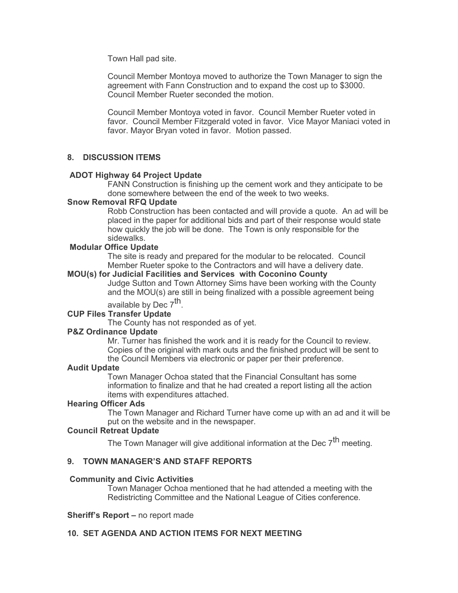Town Hall pad site.

Council Member Montoya moved to authorize the Town Manager to sign the agreement with Fann Construction and to expand the cost up to \$3000. Council Member Rueter seconded the motion.

Council Member Montoya voted in favor. Council Member Rueter voted in favor. Council Member Fitzgerald voted in favor. Vice Mayor Maniaci voted in favor. Mayor Bryan voted in favor. Motion passed.

# **8. DISCUSSION ITEMS**

#### **ADOT Highway 64 Project Update**

FANN Construction is finishing up the cement work and they anticipate to be done somewhere between the end of the week to two weeks.

#### **Snow Removal RFQ Update**

Robb Construction has been contacted and will provide a quote. An ad will be placed in the paper for additional bids and part of their response would state how quickly the job will be done. The Town is only responsible for the sidewalks.

#### **Modular Office Update**

The site is ready and prepared for the modular to be relocated. Council Member Rueter spoke to the Contractors and will have a delivery date.

#### **MOU(s) for Judicial Facilities and Services with Coconino County**

Judge Sutton and Town Attorney Sims have been working with the County and the MOU(s) are still in being finalized with a possible agreement being

available by Dec 7<sup>th</sup>.

# **CUP Files Transfer Update**

The County has not responded as of yet.

#### **P&Z Ordinance Update**

Mr. Turner has finished the work and it is ready for the Council to review. Copies of the original with mark outs and the finished product will be sent to the Council Members via electronic or paper per their preference.

#### **Audit Update**

Town Manager Ochoa stated that the Financial Consultant has some information to finalize and that he had created a report listing all the action items with expenditures attached.

#### **Hearing Officer Ads**

The Town Manager and Richard Turner have come up with an ad and it will be put on the website and in the newspaper.

#### **Council Retreat Update**

The Town Manager will give additional information at the Dec  $7<sup>th</sup>$  meeting.

# **9. TOWN MANAGER'S AND STAFF REPORTS**

#### **Community and Civic Activities**

Town Manager Ochoa mentioned that he had attended a meeting with the Redistricting Committee and the National League of Cities conference.

#### **Sheriff's Report –** no report made

#### **10. SET AGENDA AND ACTION ITEMS FOR NEXT MEETING**